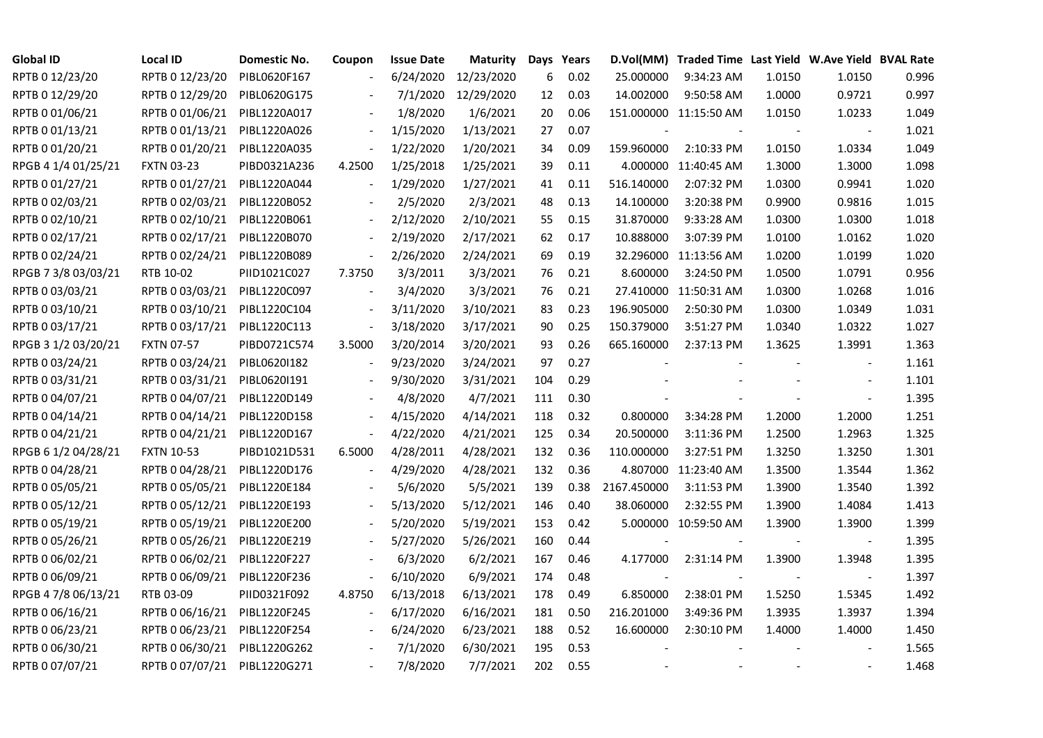| <b>Global ID</b>    | <b>Local ID</b>              | Domestic No. | Coupon                   | <b>Issue Date</b> | Maturity   |     | Days Years |             | D.Vol(MM) Traded Time Last Yield W.Ave Yield BVAL Rate |        |                          |       |
|---------------------|------------------------------|--------------|--------------------------|-------------------|------------|-----|------------|-------------|--------------------------------------------------------|--------|--------------------------|-------|
| RPTB 0 12/23/20     | RPTB 0 12/23/20              | PIBL0620F167 |                          | 6/24/2020         | 12/23/2020 | 6   | 0.02       | 25.000000   | 9:34:23 AM                                             | 1.0150 | 1.0150                   | 0.996 |
| RPTB 0 12/29/20     | RPTB 0 12/29/20              | PIBL0620G175 |                          | 7/1/2020          | 12/29/2020 | 12  | 0.03       | 14.002000   | 9:50:58 AM                                             | 1.0000 | 0.9721                   | 0.997 |
| RPTB 0 01/06/21     | RPTB 0 01/06/21              | PIBL1220A017 |                          | 1/8/2020          | 1/6/2021   | 20  | 0.06       |             | 151.000000 11:15:50 AM                                 | 1.0150 | 1.0233                   | 1.049 |
| RPTB 0 01/13/21     | RPTB 0 01/13/21              | PIBL1220A026 | $\overline{\phantom{a}}$ | 1/15/2020         | 1/13/2021  | 27  | 0.07       |             |                                                        |        |                          | 1.021 |
| RPTB 0 01/20/21     | RPTB 0 01/20/21              | PIBL1220A035 | $\overline{\phantom{a}}$ | 1/22/2020         | 1/20/2021  | 34  | 0.09       | 159.960000  | 2:10:33 PM                                             | 1.0150 | 1.0334                   | 1.049 |
| RPGB 4 1/4 01/25/21 | <b>FXTN 03-23</b>            | PIBD0321A236 | 4.2500                   | 1/25/2018         | 1/25/2021  | 39  | 0.11       |             | 4.000000 11:40:45 AM                                   | 1.3000 | 1.3000                   | 1.098 |
| RPTB 0 01/27/21     | RPTB 0 01/27/21              | PIBL1220A044 |                          | 1/29/2020         | 1/27/2021  | 41  | 0.11       | 516.140000  | 2:07:32 PM                                             | 1.0300 | 0.9941                   | 1.020 |
| RPTB 0 02/03/21     | RPTB 0 02/03/21              | PIBL1220B052 |                          | 2/5/2020          | 2/3/2021   | 48  | 0.13       | 14.100000   | 3:20:38 PM                                             | 0.9900 | 0.9816                   | 1.015 |
| RPTB 0 02/10/21     | RPTB 0 02/10/21              | PIBL1220B061 |                          | 2/12/2020         | 2/10/2021  | 55  | 0.15       | 31.870000   | 9:33:28 AM                                             | 1.0300 | 1.0300                   | 1.018 |
| RPTB 0 02/17/21     | RPTB 0 02/17/21              | PIBL1220B070 | $\overline{\phantom{a}}$ | 2/19/2020         | 2/17/2021  | 62  | 0.17       | 10.888000   | 3:07:39 PM                                             | 1.0100 | 1.0162                   | 1.020 |
| RPTB 0 02/24/21     | RPTB 0 02/24/21              | PIBL1220B089 | $\blacksquare$           | 2/26/2020         | 2/24/2021  | 69  | 0.19       |             | 32.296000 11:13:56 AM                                  | 1.0200 | 1.0199                   | 1.020 |
| RPGB 7 3/8 03/03/21 | RTB 10-02                    | PIID1021C027 | 7.3750                   | 3/3/2011          | 3/3/2021   | 76  | 0.21       | 8.600000    | 3:24:50 PM                                             | 1.0500 | 1.0791                   | 0.956 |
| RPTB 0 03/03/21     | RPTB 0 03/03/21              | PIBL1220C097 |                          | 3/4/2020          | 3/3/2021   | 76  | 0.21       |             | 27.410000 11:50:31 AM                                  | 1.0300 | 1.0268                   | 1.016 |
| RPTB 0 03/10/21     | RPTB 0 03/10/21              | PIBL1220C104 |                          | 3/11/2020         | 3/10/2021  | 83  | 0.23       | 196.905000  | 2:50:30 PM                                             | 1.0300 | 1.0349                   | 1.031 |
| RPTB 0 03/17/21     | RPTB 0 03/17/21              | PIBL1220C113 | $\overline{\phantom{a}}$ | 3/18/2020         | 3/17/2021  | 90  | 0.25       | 150.379000  | 3:51:27 PM                                             | 1.0340 | 1.0322                   | 1.027 |
| RPGB 3 1/2 03/20/21 | <b>FXTN 07-57</b>            | PIBD0721C574 | 3.5000                   | 3/20/2014         | 3/20/2021  | 93  | 0.26       | 665.160000  | 2:37:13 PM                                             | 1.3625 | 1.3991                   | 1.363 |
| RPTB 0 03/24/21     | RPTB 0 03/24/21              | PIBL0620I182 |                          | 9/23/2020         | 3/24/2021  | 97  | 0.27       |             |                                                        |        |                          | 1.161 |
| RPTB 0 03/31/21     | RPTB 0 03/31/21              | PIBL0620I191 |                          | 9/30/2020         | 3/31/2021  | 104 | 0.29       |             |                                                        |        |                          | 1.101 |
| RPTB 0 04/07/21     | RPTB 0 04/07/21              | PIBL1220D149 |                          | 4/8/2020          | 4/7/2021   | 111 | 0.30       |             |                                                        |        |                          | 1.395 |
| RPTB 0 04/14/21     | RPTB 0 04/14/21              | PIBL1220D158 |                          | 4/15/2020         | 4/14/2021  | 118 | 0.32       | 0.800000    | 3:34:28 PM                                             | 1.2000 | 1.2000                   | 1.251 |
| RPTB 0 04/21/21     | RPTB 0 04/21/21              | PIBL1220D167 | $\blacksquare$           | 4/22/2020         | 4/21/2021  | 125 | 0.34       | 20.500000   | 3:11:36 PM                                             | 1.2500 | 1.2963                   | 1.325 |
| RPGB 6 1/2 04/28/21 | <b>FXTN 10-53</b>            | PIBD1021D531 | 6.5000                   | 4/28/2011         | 4/28/2021  | 132 | 0.36       | 110.000000  | 3:27:51 PM                                             | 1.3250 | 1.3250                   | 1.301 |
| RPTB 0 04/28/21     | RPTB 0 04/28/21              | PIBL1220D176 |                          | 4/29/2020         | 4/28/2021  | 132 | 0.36       |             | 4.807000 11:23:40 AM                                   | 1.3500 | 1.3544                   | 1.362 |
| RPTB 0 05/05/21     | RPTB 0 05/05/21              | PIBL1220E184 |                          | 5/6/2020          | 5/5/2021   | 139 | 0.38       | 2167.450000 | 3:11:53 PM                                             | 1.3900 | 1.3540                   | 1.392 |
| RPTB 0 05/12/21     | RPTB 0 05/12/21              | PIBL1220E193 |                          | 5/13/2020         | 5/12/2021  | 146 | 0.40       | 38.060000   | 2:32:55 PM                                             | 1.3900 | 1.4084                   | 1.413 |
| RPTB 0 05/19/21     | RPTB 0 05/19/21              | PIBL1220E200 |                          | 5/20/2020         | 5/19/2021  | 153 | 0.42       |             | 5.000000 10:59:50 AM                                   | 1.3900 | 1.3900                   | 1.399 |
| RPTB 0 05/26/21     | RPTB 0 05/26/21              | PIBL1220E219 |                          | 5/27/2020         | 5/26/2021  | 160 | 0.44       |             |                                                        |        | $\overline{\phantom{a}}$ | 1.395 |
| RPTB 0 06/02/21     | RPTB 0 06/02/21              | PIBL1220F227 |                          | 6/3/2020          | 6/2/2021   | 167 | 0.46       | 4.177000    | 2:31:14 PM                                             | 1.3900 | 1.3948                   | 1.395 |
| RPTB 0 06/09/21     | RPTB 0 06/09/21              | PIBL1220F236 |                          | 6/10/2020         | 6/9/2021   | 174 | 0.48       |             |                                                        |        |                          | 1.397 |
| RPGB 4 7/8 06/13/21 | RTB 03-09                    | PIID0321F092 | 4.8750                   | 6/13/2018         | 6/13/2021  | 178 | 0.49       | 6.850000    | 2:38:01 PM                                             | 1.5250 | 1.5345                   | 1.492 |
| RPTB 0 06/16/21     | RPTB 0 06/16/21              | PIBL1220F245 |                          | 6/17/2020         | 6/16/2021  | 181 | 0.50       | 216.201000  | 3:49:36 PM                                             | 1.3935 | 1.3937                   | 1.394 |
| RPTB 0 06/23/21     | RPTB 0 06/23/21              | PIBL1220F254 |                          | 6/24/2020         | 6/23/2021  | 188 | 0.52       | 16.600000   | 2:30:10 PM                                             | 1.4000 | 1.4000                   | 1.450 |
| RPTB 0 06/30/21     | RPTB 0 06/30/21              | PIBL1220G262 |                          | 7/1/2020          | 6/30/2021  | 195 | 0.53       |             |                                                        |        |                          | 1.565 |
| RPTB 0 07/07/21     | RPTB 0 07/07/21 PIBL1220G271 |              |                          | 7/8/2020          | 7/7/2021   | 202 | 0.55       |             |                                                        |        |                          | 1.468 |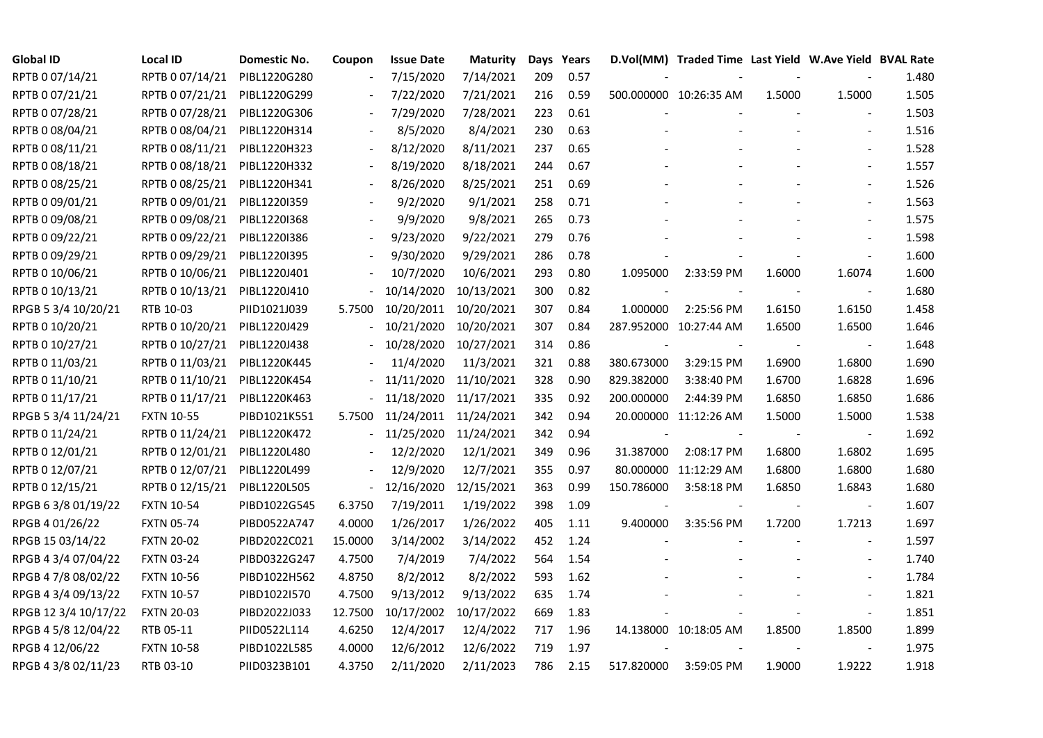| <b>Global ID</b>     | <b>Local ID</b>   | Domestic No. | Coupon         | <b>Issue Date</b> | <b>Maturity</b> |     | Days Years |            | D.Vol(MM) Traded Time Last Yield W.Ave Yield BVAL Rate |        |                          |       |
|----------------------|-------------------|--------------|----------------|-------------------|-----------------|-----|------------|------------|--------------------------------------------------------|--------|--------------------------|-------|
| RPTB 0 07/14/21      | RPTB 0 07/14/21   | PIBL1220G280 |                | 7/15/2020         | 7/14/2021       | 209 | 0.57       |            |                                                        |        |                          | 1.480 |
| RPTB 0 07/21/21      | RPTB 0 07/21/21   | PIBL1220G299 |                | 7/22/2020         | 7/21/2021       | 216 | 0.59       |            | 500.000000 10:26:35 AM                                 | 1.5000 | 1.5000                   | 1.505 |
| RPTB 0 07/28/21      | RPTB 0 07/28/21   | PIBL1220G306 |                | 7/29/2020         | 7/28/2021       | 223 | 0.61       |            |                                                        |        |                          | 1.503 |
| RPTB 0 08/04/21      | RPTB 0 08/04/21   | PIBL1220H314 | $\blacksquare$ | 8/5/2020          | 8/4/2021        | 230 | 0.63       |            |                                                        |        | $\overline{\phantom{a}}$ | 1.516 |
| RPTB 0 08/11/21      | RPTB 0 08/11/21   | PIBL1220H323 |                | 8/12/2020         | 8/11/2021       | 237 | 0.65       |            |                                                        |        |                          | 1.528 |
| RPTB 0 08/18/21      | RPTB 0 08/18/21   | PIBL1220H332 |                | 8/19/2020         | 8/18/2021       | 244 | 0.67       |            |                                                        |        | $\blacksquare$           | 1.557 |
| RPTB 0 08/25/21      | RPTB 0 08/25/21   | PIBL1220H341 |                | 8/26/2020         | 8/25/2021       | 251 | 0.69       |            |                                                        |        | $\blacksquare$           | 1.526 |
| RPTB 0 09/01/21      | RPTB 0 09/01/21   | PIBL1220I359 |                | 9/2/2020          | 9/1/2021        | 258 | 0.71       |            |                                                        |        |                          | 1.563 |
| RPTB 0 09/08/21      | RPTB 0 09/08/21   | PIBL1220I368 |                | 9/9/2020          | 9/8/2021        | 265 | 0.73       |            |                                                        |        |                          | 1.575 |
| RPTB 0 09/22/21      | RPTB 0 09/22/21   | PIBL1220I386 |                | 9/23/2020         | 9/22/2021       | 279 | 0.76       |            |                                                        |        |                          | 1.598 |
| RPTB 0 09/29/21      | RPTB 0 09/29/21   | PIBL1220I395 | $\blacksquare$ | 9/30/2020         | 9/29/2021       | 286 | 0.78       |            |                                                        |        | $\blacksquare$           | 1.600 |
| RPTB 0 10/06/21      | RPTB 0 10/06/21   | PIBL1220J401 |                | 10/7/2020         | 10/6/2021       | 293 | 0.80       | 1.095000   | 2:33:59 PM                                             | 1.6000 | 1.6074                   | 1.600 |
| RPTB 0 10/13/21      | RPTB 0 10/13/21   | PIBL1220J410 |                | 10/14/2020        | 10/13/2021      | 300 | 0.82       |            |                                                        |        | $\overline{\phantom{a}}$ | 1.680 |
| RPGB 5 3/4 10/20/21  | RTB 10-03         | PIID1021J039 | 5.7500         | 10/20/2011        | 10/20/2021      | 307 | 0.84       | 1.000000   | 2:25:56 PM                                             | 1.6150 | 1.6150                   | 1.458 |
| RPTB 0 10/20/21      | RPTB 0 10/20/21   | PIBL1220J429 |                | 10/21/2020        | 10/20/2021      | 307 | 0.84       |            | 287.952000 10:27:44 AM                                 | 1.6500 | 1.6500                   | 1.646 |
| RPTB 0 10/27/21      | RPTB 0 10/27/21   | PIBL1220J438 |                | 10/28/2020        | 10/27/2021      | 314 | 0.86       |            |                                                        |        |                          | 1.648 |
| RPTB 0 11/03/21      | RPTB 0 11/03/21   | PIBL1220K445 |                | 11/4/2020         | 11/3/2021       | 321 | 0.88       | 380.673000 | 3:29:15 PM                                             | 1.6900 | 1.6800                   | 1.690 |
| RPTB 0 11/10/21      | RPTB 0 11/10/21   | PIBL1220K454 |                | 11/11/2020        | 11/10/2021      | 328 | 0.90       | 829.382000 | 3:38:40 PM                                             | 1.6700 | 1.6828                   | 1.696 |
| RPTB 0 11/17/21      | RPTB 0 11/17/21   | PIBL1220K463 |                | 11/18/2020        | 11/17/2021      | 335 | 0.92       | 200.000000 | 2:44:39 PM                                             | 1.6850 | 1.6850                   | 1.686 |
| RPGB 5 3/4 11/24/21  | <b>FXTN 10-55</b> | PIBD1021K551 | 5.7500         | 11/24/2011        | 11/24/2021      | 342 | 0.94       |            | 20.000000 11:12:26 AM                                  | 1.5000 | 1.5000                   | 1.538 |
| RPTB 0 11/24/21      | RPTB 0 11/24/21   | PIBL1220K472 |                | 11/25/2020        | 11/24/2021      | 342 | 0.94       |            |                                                        |        | $\overline{\phantom{a}}$ | 1.692 |
| RPTB 0 12/01/21      | RPTB 0 12/01/21   | PIBL1220L480 |                | 12/2/2020         | 12/1/2021       | 349 | 0.96       | 31.387000  | 2:08:17 PM                                             | 1.6800 | 1.6802                   | 1.695 |
| RPTB 0 12/07/21      | RPTB 0 12/07/21   | PIBL1220L499 |                | 12/9/2020         | 12/7/2021       | 355 | 0.97       |            | 80.000000 11:12:29 AM                                  | 1.6800 | 1.6800                   | 1.680 |
| RPTB 0 12/15/21      | RPTB 0 12/15/21   | PIBL1220L505 |                | 12/16/2020        | 12/15/2021      | 363 | 0.99       | 150.786000 | 3:58:18 PM                                             | 1.6850 | 1.6843                   | 1.680 |
| RPGB 63/8 01/19/22   | <b>FXTN 10-54</b> | PIBD1022G545 | 6.3750         | 7/19/2011         | 1/19/2022       | 398 | 1.09       |            |                                                        |        | $\overline{\phantom{a}}$ | 1.607 |
| RPGB 4 01/26/22      | <b>FXTN 05-74</b> | PIBD0522A747 | 4.0000         | 1/26/2017         | 1/26/2022       | 405 | 1.11       | 9.400000   | 3:35:56 PM                                             | 1.7200 | 1.7213                   | 1.697 |
| RPGB 15 03/14/22     | <b>FXTN 20-02</b> | PIBD2022C021 | 15.0000        | 3/14/2002         | 3/14/2022       | 452 | 1.24       |            |                                                        |        | $\sim$                   | 1.597 |
| RPGB 4 3/4 07/04/22  | <b>FXTN 03-24</b> | PIBD0322G247 | 4.7500         | 7/4/2019          | 7/4/2022        | 564 | 1.54       |            |                                                        |        |                          | 1.740 |
| RPGB 4 7/8 08/02/22  | <b>FXTN 10-56</b> | PIBD1022H562 | 4.8750         | 8/2/2012          | 8/2/2022        | 593 | 1.62       |            |                                                        |        |                          | 1.784 |
| RPGB 4 3/4 09/13/22  | <b>FXTN 10-57</b> | PIBD1022I570 | 4.7500         | 9/13/2012         | 9/13/2022       | 635 | 1.74       |            |                                                        |        |                          | 1.821 |
| RPGB 12 3/4 10/17/22 | <b>FXTN 20-03</b> | PIBD2022J033 | 12.7500        | 10/17/2002        | 10/17/2022      | 669 | 1.83       |            |                                                        |        | $\overline{\phantom{a}}$ | 1.851 |
| RPGB 4 5/8 12/04/22  | RTB 05-11         | PIID0522L114 | 4.6250         | 12/4/2017         | 12/4/2022       | 717 | 1.96       |            | 14.138000 10:18:05 AM                                  | 1.8500 | 1.8500                   | 1.899 |
| RPGB 4 12/06/22      | <b>FXTN 10-58</b> | PIBD1022L585 | 4.0000         | 12/6/2012         | 12/6/2022       | 719 | 1.97       |            |                                                        |        |                          | 1.975 |
| RPGB 4 3/8 02/11/23  | RTB 03-10         | PIID0323B101 | 4.3750         | 2/11/2020         | 2/11/2023       | 786 | 2.15       | 517.820000 | 3:59:05 PM                                             | 1.9000 | 1.9222                   | 1.918 |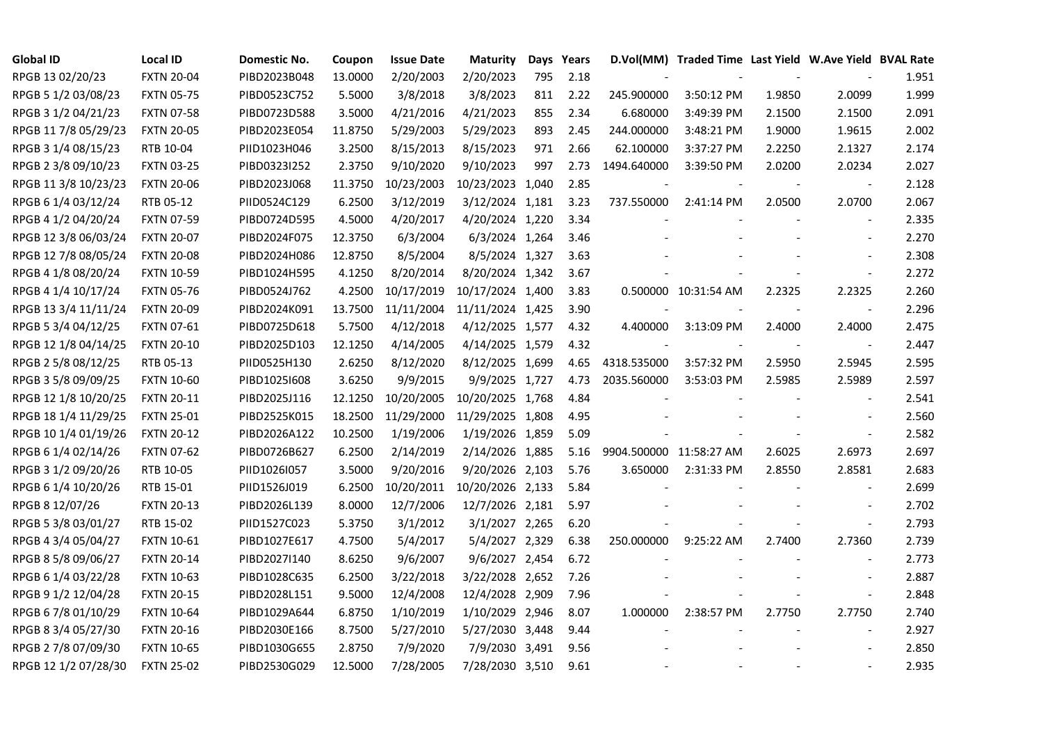| <b>Global ID</b>     | <b>Local ID</b>   | Domestic No. | Coupon  | <b>Issue Date</b> | <b>Maturity</b>  |     | Days Years |                         | D.Vol(MM) Traded Time Last Yield W.Ave Yield BVAL Rate |        |                          |       |
|----------------------|-------------------|--------------|---------|-------------------|------------------|-----|------------|-------------------------|--------------------------------------------------------|--------|--------------------------|-------|
| RPGB 13 02/20/23     | <b>FXTN 20-04</b> | PIBD2023B048 | 13.0000 | 2/20/2003         | 2/20/2023        | 795 | 2.18       |                         |                                                        |        |                          | 1.951 |
| RPGB 5 1/2 03/08/23  | <b>FXTN 05-75</b> | PIBD0523C752 | 5.5000  | 3/8/2018          | 3/8/2023         | 811 | 2.22       | 245.900000              | 3:50:12 PM                                             | 1.9850 | 2.0099                   | 1.999 |
| RPGB 3 1/2 04/21/23  | <b>FXTN 07-58</b> | PIBD0723D588 | 3.5000  | 4/21/2016         | 4/21/2023        | 855 | 2.34       | 6.680000                | 3:49:39 PM                                             | 2.1500 | 2.1500                   | 2.091 |
| RPGB 11 7/8 05/29/23 | <b>FXTN 20-05</b> | PIBD2023E054 | 11.8750 | 5/29/2003         | 5/29/2023        | 893 | 2.45       | 244.000000              | 3:48:21 PM                                             | 1.9000 | 1.9615                   | 2.002 |
| RPGB 3 1/4 08/15/23  | RTB 10-04         | PIID1023H046 | 3.2500  | 8/15/2013         | 8/15/2023        | 971 | 2.66       | 62.100000               | 3:37:27 PM                                             | 2.2250 | 2.1327                   | 2.174 |
| RPGB 2 3/8 09/10/23  | <b>FXTN 03-25</b> | PIBD0323I252 | 2.3750  | 9/10/2020         | 9/10/2023        | 997 | 2.73       | 1494.640000             | 3:39:50 PM                                             | 2.0200 | 2.0234                   | 2.027 |
| RPGB 11 3/8 10/23/23 | <b>FXTN 20-06</b> | PIBD2023J068 | 11.3750 | 10/23/2003        | 10/23/2023 1,040 |     | 2.85       |                         |                                                        |        | $\blacksquare$           | 2.128 |
| RPGB 6 1/4 03/12/24  | RTB 05-12         | PIID0524C129 | 6.2500  | 3/12/2019         | 3/12/2024 1,181  |     | 3.23       | 737.550000              | 2:41:14 PM                                             | 2.0500 | 2.0700                   | 2.067 |
| RPGB 4 1/2 04/20/24  | <b>FXTN 07-59</b> | PIBD0724D595 | 4.5000  | 4/20/2017         | 4/20/2024 1,220  |     | 3.34       |                         |                                                        |        |                          | 2.335 |
| RPGB 12 3/8 06/03/24 | <b>FXTN 20-07</b> | PIBD2024F075 | 12.3750 | 6/3/2004          | 6/3/2024 1,264   |     | 3.46       |                         |                                                        |        |                          | 2.270 |
| RPGB 12 7/8 08/05/24 | <b>FXTN 20-08</b> | PIBD2024H086 | 12.8750 | 8/5/2004          | 8/5/2024 1,327   |     | 3.63       |                         |                                                        |        | $\overline{\phantom{a}}$ | 2.308 |
| RPGB 4 1/8 08/20/24  | <b>FXTN 10-59</b> | PIBD1024H595 | 4.1250  | 8/20/2014         | 8/20/2024 1,342  |     | 3.67       |                         |                                                        |        | $\blacksquare$           | 2.272 |
| RPGB 4 1/4 10/17/24  | <b>FXTN 05-76</b> | PIBD0524J762 | 4.2500  | 10/17/2019        | 10/17/2024 1,400 |     | 3.83       |                         | 0.500000 10:31:54 AM                                   | 2.2325 | 2.2325                   | 2.260 |
| RPGB 13 3/4 11/11/24 | <b>FXTN 20-09</b> | PIBD2024K091 | 13.7500 | 11/11/2004        | 11/11/2024 1,425 |     | 3.90       |                         |                                                        |        | $\blacksquare$           | 2.296 |
| RPGB 5 3/4 04/12/25  | FXTN 07-61        | PIBD0725D618 | 5.7500  | 4/12/2018         | 4/12/2025 1,577  |     | 4.32       | 4.400000                | 3:13:09 PM                                             | 2.4000 | 2.4000                   | 2.475 |
| RPGB 12 1/8 04/14/25 | <b>FXTN 20-10</b> | PIBD2025D103 | 12.1250 | 4/14/2005         | 4/14/2025 1,579  |     | 4.32       |                         |                                                        |        |                          | 2.447 |
| RPGB 2 5/8 08/12/25  | RTB 05-13         | PIID0525H130 | 2.6250  | 8/12/2020         | 8/12/2025 1,699  |     | 4.65       | 4318.535000             | 3:57:32 PM                                             | 2.5950 | 2.5945                   | 2.595 |
| RPGB 3 5/8 09/09/25  | <b>FXTN 10-60</b> | PIBD10251608 | 3.6250  | 9/9/2015          | 9/9/2025 1,727   |     | 4.73       | 2035.560000             | 3:53:03 PM                                             | 2.5985 | 2.5989                   | 2.597 |
| RPGB 12 1/8 10/20/25 | <b>FXTN 20-11</b> | PIBD2025J116 | 12.1250 | 10/20/2005        | 10/20/2025 1,768 |     | 4.84       |                         |                                                        |        | $\blacksquare$           | 2.541 |
| RPGB 18 1/4 11/29/25 | <b>FXTN 25-01</b> | PIBD2525K015 | 18.2500 | 11/29/2000        | 11/29/2025 1,808 |     | 4.95       |                         |                                                        |        | $\overline{\phantom{a}}$ | 2.560 |
| RPGB 10 1/4 01/19/26 | <b>FXTN 20-12</b> | PIBD2026A122 | 10.2500 | 1/19/2006         | 1/19/2026 1,859  |     | 5.09       |                         |                                                        |        | $\blacksquare$           | 2.582 |
| RPGB 6 1/4 02/14/26  | <b>FXTN 07-62</b> | PIBD0726B627 | 6.2500  | 2/14/2019         | 2/14/2026 1,885  |     | 5.16       | 9904.500000 11:58:27 AM |                                                        | 2.6025 | 2.6973                   | 2.697 |
| RPGB 3 1/2 09/20/26  | RTB 10-05         | PIID1026I057 | 3.5000  | 9/20/2016         | 9/20/2026 2,103  |     | 5.76       | 3.650000                | 2:31:33 PM                                             | 2.8550 | 2.8581                   | 2.683 |
| RPGB 6 1/4 10/20/26  | RTB 15-01         | PIID1526J019 | 6.2500  | 10/20/2011        | 10/20/2026 2,133 |     | 5.84       |                         |                                                        |        |                          | 2.699 |
| RPGB 8 12/07/26      | <b>FXTN 20-13</b> | PIBD2026L139 | 8.0000  | 12/7/2006         | 12/7/2026 2,181  |     | 5.97       |                         |                                                        |        | $\overline{\phantom{a}}$ | 2.702 |
| RPGB 5 3/8 03/01/27  | RTB 15-02         | PIID1527C023 | 5.3750  | 3/1/2012          | 3/1/2027 2,265   |     | 6.20       |                         |                                                        |        | $\blacksquare$           | 2.793 |
| RPGB 4 3/4 05/04/27  | <b>FXTN 10-61</b> | PIBD1027E617 | 4.7500  | 5/4/2017          | 5/4/2027 2,329   |     | 6.38       | 250.000000              | 9:25:22 AM                                             | 2.7400 | 2.7360                   | 2.739 |
| RPGB 8 5/8 09/06/27  | <b>FXTN 20-14</b> | PIBD2027I140 | 8.6250  | 9/6/2007          | 9/6/2027 2,454   |     | 6.72       |                         |                                                        |        | $\overline{\phantom{a}}$ | 2.773 |
| RPGB 6 1/4 03/22/28  | <b>FXTN 10-63</b> | PIBD1028C635 | 6.2500  | 3/22/2018         | 3/22/2028 2,652  |     | 7.26       |                         |                                                        |        |                          | 2.887 |
| RPGB 9 1/2 12/04/28  | <b>FXTN 20-15</b> | PIBD2028L151 | 9.5000  | 12/4/2008         | 12/4/2028 2,909  |     | 7.96       |                         |                                                        |        |                          | 2.848 |
| RPGB 67/8 01/10/29   | <b>FXTN 10-64</b> | PIBD1029A644 | 6.8750  | 1/10/2019         | 1/10/2029 2,946  |     | 8.07       | 1.000000                | 2:38:57 PM                                             | 2.7750 | 2.7750                   | 2.740 |
| RPGB 8 3/4 05/27/30  | <b>FXTN 20-16</b> | PIBD2030E166 | 8.7500  | 5/27/2010         | 5/27/2030 3,448  |     | 9.44       |                         |                                                        |        | $\overline{\phantom{a}}$ | 2.927 |
| RPGB 2 7/8 07/09/30  | <b>FXTN 10-65</b> | PIBD1030G655 | 2.8750  | 7/9/2020          | 7/9/2030 3,491   |     | 9.56       |                         |                                                        |        |                          | 2.850 |
| RPGB 12 1/2 07/28/30 | <b>FXTN 25-02</b> | PIBD2530G029 | 12.5000 | 7/28/2005         | 7/28/2030 3,510  |     | 9.61       |                         |                                                        |        |                          | 2.935 |